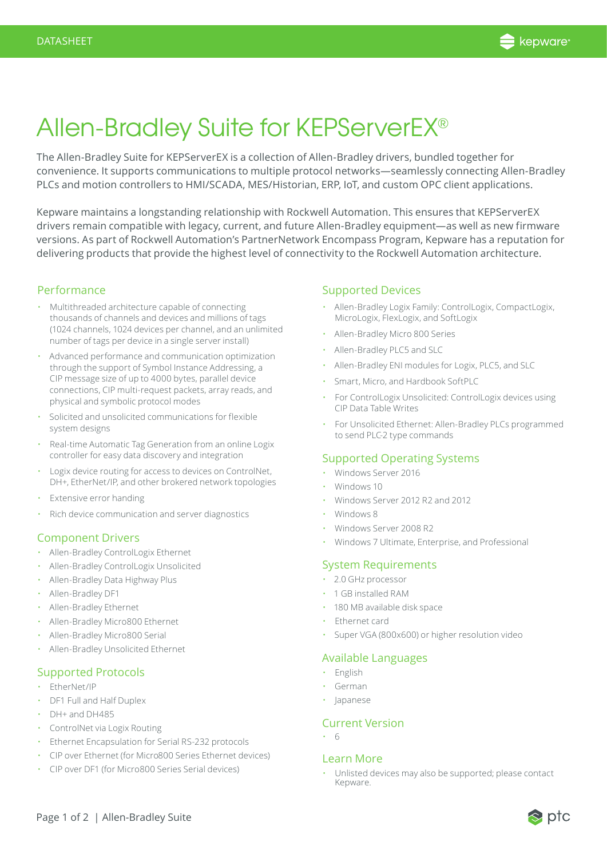

# Allen-Bradley Suite for KEPServerEX®

The Allen-Bradley Suite for KEPServerEX is a collection of Allen-Bradley drivers, bundled together for convenience. It supports communications to multiple protocol networks—seamlessly connecting Allen-Bradley PLCs and motion controllers to HMI/SCADA, MES/Historian, ERP, IoT, and custom OPC client applications.

Kepware maintains a longstanding relationship with Rockwell Automation. This ensures that KEPServerEX drivers remain compatible with legacy, current, and future Allen-Bradley equipment—as well as new firmware versions. As part of Rockwell Automation's PartnerNetwork Encompass Program, Kepware has a reputation for delivering products that provide the highest level of connectivity to the Rockwell Automation architecture.

#### Performance

- Multithreaded architecture capable of connecting thousands of channels and devices and millions of tags (1024 channels, 1024 devices per channel, and an unlimited number of tags per device in a single server install)
- Advanced performance and communication optimization through the support of Symbol Instance Addressing, a CIP message size of up to 4000 bytes, parallel device connections, CIP multi-request packets, array reads, and physical and symbolic protocol modes
- Solicited and unsolicited communications for flexible system designs
- Real-time Automatic Tag Generation from an online Logix controller for easy data discovery and integration
- Logix device routing for access to devices on ControlNet, DH+, EtherNet/IP, and other brokered network topologies
- Extensive error handing
- Rich device communication and server diagnostics

### Component Drivers

- Allen-Bradley ControlLogix Ethernet
- Allen-Bradley ControlLogix Unsolicited
- Allen-Bradley Data Highway Plus
- Allen-Bradley DF1
- Allen-Bradley Ethernet
- Allen-Bradley Micro800 Ethernet
- Allen-Bradley Micro800 Serial
- Allen-Bradley Unsolicited Ethernet

## Supported Protocols

- EtherNet/IP
- DF1 Full and Half Duplex
- DH+ and DH485
- ControlNet via Logix Routing
- Ethernet Encapsulation for Serial RS-232 protocols
- CIP over Ethernet (for Micro800 Series Ethernet devices)
- CIP over DF1 (for Micro800 Series Serial devices)

### Supported Devices

- Allen-Bradley Logix Family: ControlLogix, CompactLogix, MicroLogix, FlexLogix, and SoftLogix
- Allen-Bradley Micro 800 Series
- Allen-Bradley PLC5 and SLC
- Allen-Bradley ENI modules for Logix, PLC5, and SLC
- Smart, Micro, and Hardbook SoftPLC
- For ControlLogix Unsolicited: ControlLogix devices using CIP Data Table Writes
- For Unsolicited Ethernet: Allen-Bradley PLCs programmed to send PLC-2 type commands

### Supported Operating Systems

- Windows Server 2016
- Windows 10
- Windows Server 2012 R2 and 2012
- Windows 8
- Windows Server 2008 R2
- Windows 7 Ultimate, Enterprise, and Professional

## System Requirements

- 2.0 GHz processor
- 1 GB installed RAM
- 180 MB available disk space
- Ethernet card
- Super VGA (800x600) or higher resolution video

### Available Languages

- English
- German
- Japanese

### Current Version

• 6

### Learn More

• Unlisted devices may also be supported; please contact Kepware.